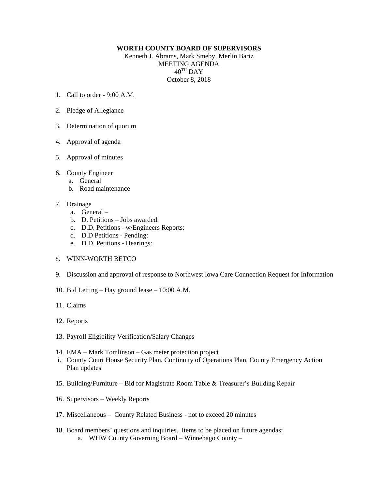## **WORTH COUNTY BOARD OF SUPERVISORS**

Kenneth J. Abrams, Mark Smeby, Merlin Bartz MEETING AGENDA 40TH DAY October 8, 2018

- 1. Call to order 9:00 A.M.
- 2. Pledge of Allegiance
- 3. Determination of quorum
- 4. Approval of agenda
- 5. Approval of minutes
- 6. County Engineer
	- a. General
	- b. Road maintenance
- 7. Drainage
	- a. General –
	- b. D. Petitions Jobs awarded:
	- c. D.D. Petitions w/Engineers Reports:
	- d. D.D Petitions Pending:
	- e. D.D. Petitions Hearings:
- 8. WINN-WORTH BETCO
- 9. Discussion and approval of response to Northwest Iowa Care Connection Request for Information
- 10. Bid Letting Hay ground lease 10:00 A.M.
- 11. Claims
- 12. Reports
- 13. Payroll Eligibility Verification/Salary Changes
- 14. EMA Mark Tomlinson Gas meter protection project
- i. County Court House Security Plan, Continuity of Operations Plan, County Emergency Action Plan updates
- 15. Building/Furniture Bid for Magistrate Room Table & Treasurer's Building Repair
- 16. Supervisors Weekly Reports
- 17. Miscellaneous County Related Business not to exceed 20 minutes
- 18. Board members' questions and inquiries. Items to be placed on future agendas: a. WHW County Governing Board – Winnebago County –